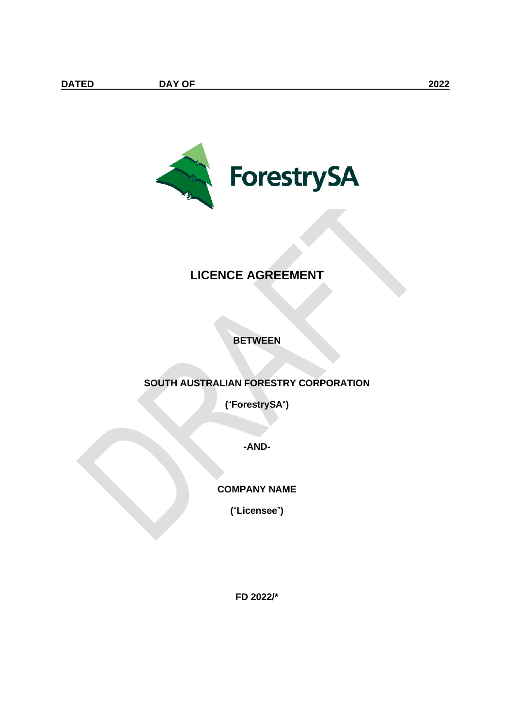

# **LICENCE AGREEMENT**

# **BETWEEN**

# **SOUTH AUSTRALIAN FORESTRY CORPORATION**

**(**"**ForestrySA**"**)**

**-AND-**

# **COMPANY NAME**

**(**"**Licensee**"**)**

**FD 2022/\***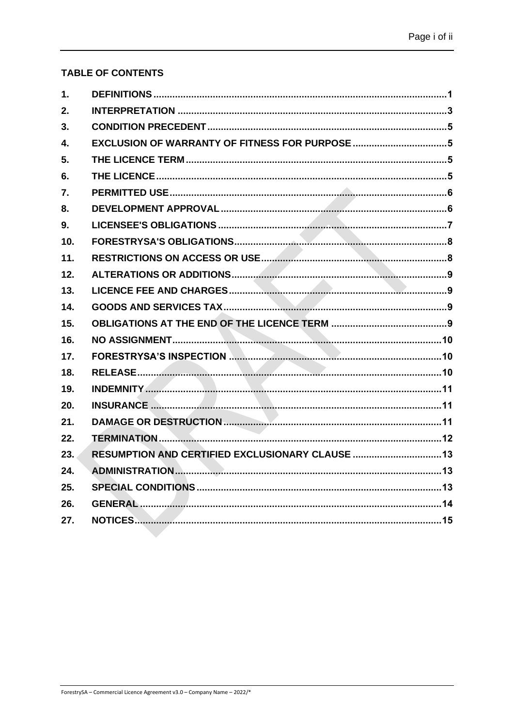# **TABLE OF CONTENTS**

| 1.  |                                                  |  |
|-----|--------------------------------------------------|--|
| 2.  |                                                  |  |
| 3.  |                                                  |  |
| 4.  | EXCLUSION OF WARRANTY OF FITNESS FOR PURPOSE 5   |  |
| 5.  |                                                  |  |
| 6.  |                                                  |  |
| 7.  |                                                  |  |
| 8.  |                                                  |  |
| 9.  |                                                  |  |
| 10. |                                                  |  |
| 11. |                                                  |  |
| 12. |                                                  |  |
| 13. |                                                  |  |
| 14. |                                                  |  |
| 15. |                                                  |  |
| 16. |                                                  |  |
| 17. |                                                  |  |
| 18. |                                                  |  |
| 19. |                                                  |  |
| 20. |                                                  |  |
| 21. |                                                  |  |
| 22. |                                                  |  |
| 23. | RESUMPTION AND CERTIFIED EXCLUSIONARY CLAUSE  13 |  |
| 24. |                                                  |  |
| 25. |                                                  |  |
| 26. |                                                  |  |
| 27. |                                                  |  |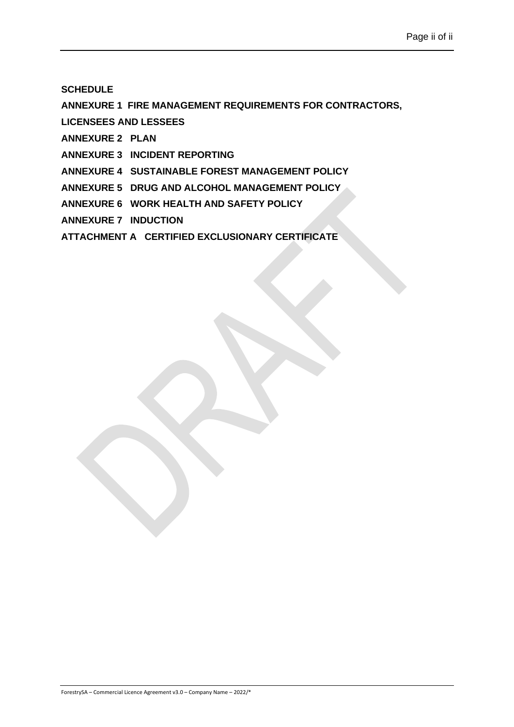## **[SCHEDULE](#page-20-0)**

**[ANNEXURE 1 FIRE MANAGEMENT REQUIREMENTS FOR CONTRACTORS,](#page-23-0)** 

**[LICENSEES AND LESSEES](#page-23-0)**

**[ANNEXURE 2 PLAN](#page-24-0)**

**[ANNEXURE 3 INCIDENT REPORTING](#page-25-0)**

**[ANNEXURE 4 SUSTAINABLE FOREST MANAGEMENT POLICY](#page-26-0)**

**[ANNEXURE 5 DRUG AND ALCOHOL MANAGEMENT POLICY](#page-27-0)**

**[ANNEXURE 6 WORK HEALTH AND SAFETY POLICY](#page-28-0)**

**[ANNEXURE 7 INDUCTION](#page-29-0)**

**[ATTACHMENT A CERTIFIED EXCLUSIONARY CERTIFICATE](#page-30-0)**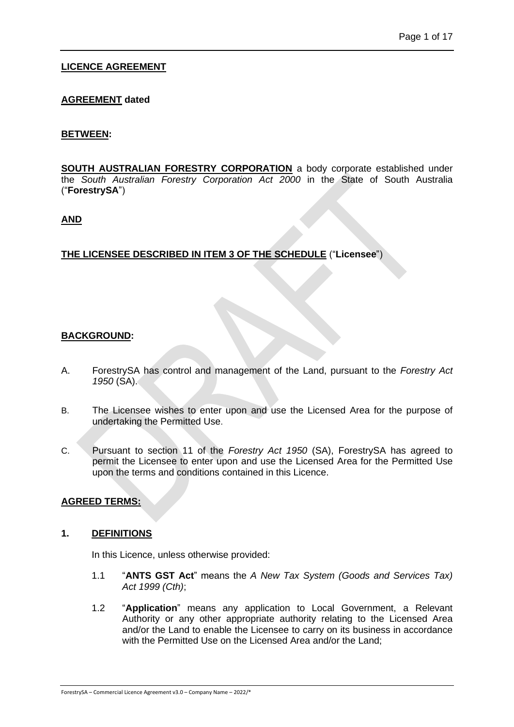# **LICENCE AGREEMENT**

## **AGREEMENT dated**

#### **BETWEEN:**

**SOUTH AUSTRALIAN FORESTRY CORPORATION** a body corporate established under the *South Australian Forestry Corporation Act 2000* in the State of South Australia ("**ForestrySA**")

#### **AND**

#### **THE LICENSEE DESCRIBED IN ITEM 3 OF THE SCHEDULE** ("**Licensee**")

#### **BACKGROUND:**

- A. ForestrySA has control and management of the Land, pursuant to the *Forestry Act 1950* (SA).
- B. The Licensee wishes to enter upon and use the Licensed Area for the purpose of undertaking the Permitted Use.
- C. Pursuant to section 11 of the *Forestry Act 1950* (SA), ForestrySA has agreed to permit the Licensee to enter upon and use the Licensed Area for the Permitted Use upon the terms and conditions contained in this Licence.

## **AGREED TERMS:**

#### <span id="page-3-0"></span>**1. DEFINITIONS**

In this Licence, unless otherwise provided:

- 1.1 "**ANTS GST Act**" means the *A New Tax System (Goods and Services Tax) Act 1999 (Cth)*;
- 1.2 "**Application**" means any application to Local Government, a Relevant Authority or any other appropriate authority relating to the Licensed Area and/or the Land to enable the Licensee to carry on its business in accordance with the Permitted Use on the Licensed Area and/or the Land;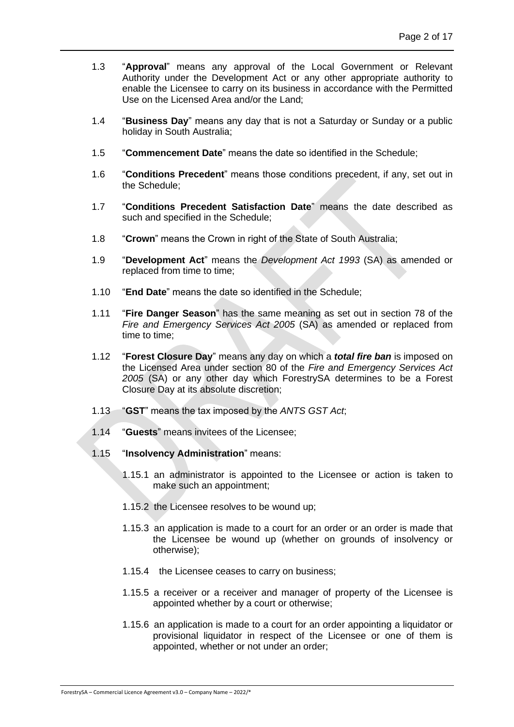- 1.3 "**Approval**" means any approval of the Local Government or Relevant Authority under the Development Act or any other appropriate authority to enable the Licensee to carry on its business in accordance with the Permitted Use on the Licensed Area and/or the Land;
- 1.4 "**Business Day**" means any day that is not a Saturday or Sunday or a public holiday in South Australia;
- 1.5 "**Commencement Date**" means the date so identified in the Schedule;
- 1.6 "**Conditions Precedent**" means those conditions precedent, if any, set out in the Schedule;
- 1.7 "**Conditions Precedent Satisfaction Date**" means the date described as such and specified in the Schedule;
- 1.8 "**Crown**" means the Crown in right of the State of South Australia;
- 1.9 "**Development Act**" means the *Development Act 1993* (SA) as amended or replaced from time to time;
- 1.10 "**End Date**" means the date so identified in the Schedule;
- 1.11 "**Fire Danger Season**" has the same meaning as set out in section 78 of the *Fire and Emergency Services Act 2005* (SA) as amended or replaced from time to time;
- 1.12 "**Forest Closure Day**" means any day on which a *total fire ban* is imposed on the Licensed Area under section 80 of the *Fire and Emergency Services Act 2005* (SA) or any other day which ForestrySA determines to be a Forest Closure Day at its absolute discretion;
- 1.13 "**GST**" means the tax imposed by the *ANTS GST Act*;
- 1.14 "**Guests**" means invitees of the Licensee;
- 1.15 "**Insolvency Administration**" means:
	- 1.15.1 an administrator is appointed to the Licensee or action is taken to make such an appointment;
	- 1.15.2 the Licensee resolves to be wound up;
	- 1.15.3 an application is made to a court for an order or an order is made that the Licensee be wound up (whether on grounds of insolvency or otherwise);
	- 1.15.4 the Licensee ceases to carry on business;
	- 1.15.5 a receiver or a receiver and manager of property of the Licensee is appointed whether by a court or otherwise;
	- 1.15.6 an application is made to a court for an order appointing a liquidator or provisional liquidator in respect of the Licensee or one of them is appointed, whether or not under an order;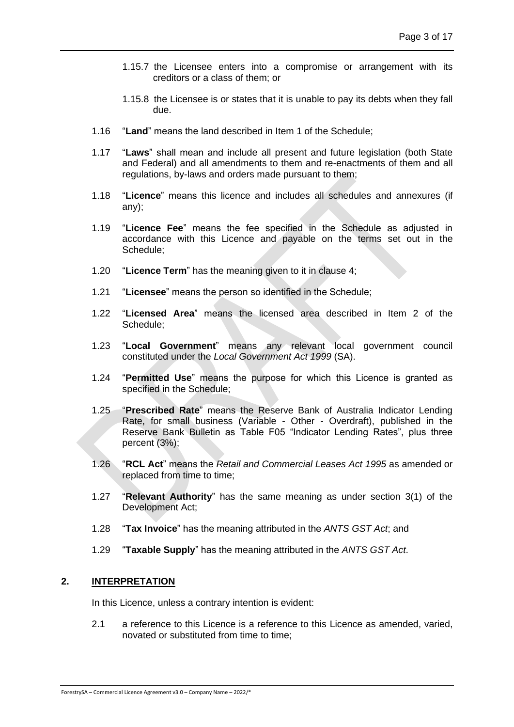- 1.15.7 the Licensee enters into a compromise or arrangement with its creditors or a class of them; or
- 1.15.8 the Licensee is or states that it is unable to pay its debts when they fall due.
- <span id="page-5-1"></span>1.16 "**Land**" means the land described in Item 1 of the Schedule;
- 1.17 "**Laws**" shall mean and include all present and future legislation (both State and Federal) and all amendments to them and re-enactments of them and all regulations, by-laws and orders made pursuant to them;
- 1.18 "**Licence**" means this licence and includes all schedules and annexures (if any);
- 1.19 "**Licence Fee**" means the fee specified in the Schedule as adjusted in accordance with this Licence and payable on the terms set out in the Schedule;
- 1.20 "**Licence Term**" has the meaning given to it in clause [4;](#page-7-1)
- <span id="page-5-3"></span>1.21 "**Licensee**" means the person so identified in the Schedule;
- <span id="page-5-2"></span>1.22 "**Licensed Area**" means the licensed area described in Item 2 of the Schedule;
- 1.23 "**Local Government**" means any relevant local government council constituted under the *Local Government Act 1999* (SA).
- 1.24 "**Permitted Use**" means the purpose for which this Licence is granted as specified in the Schedule;
- 1.25 "**Prescribed Rate**" means the Reserve Bank of Australia Indicator Lending Rate, for small business (Variable - Other - Overdraft), published in the Reserve Bank Bulletin as Table F05 "Indicator Lending Rates", plus three percent (3%);
- 1.26 "**RCL Act**" means the *Retail and Commercial Leases Act 1995* as amended or replaced from time to time;
- 1.27 "**Relevant Authority**" has the same meaning as under section 3(1) of the Development Act;
- 1.28 "**Tax Invoice**" has the meaning attributed in the *ANTS GST Act*; and
- 1.29 "**Taxable Supply**" has the meaning attributed in the *ANTS GST Act*.

## <span id="page-5-0"></span>**2. INTERPRETATION**

In this Licence, unless a contrary intention is evident:

2.1 a reference to this Licence is a reference to this Licence as amended, varied, novated or substituted from time to time;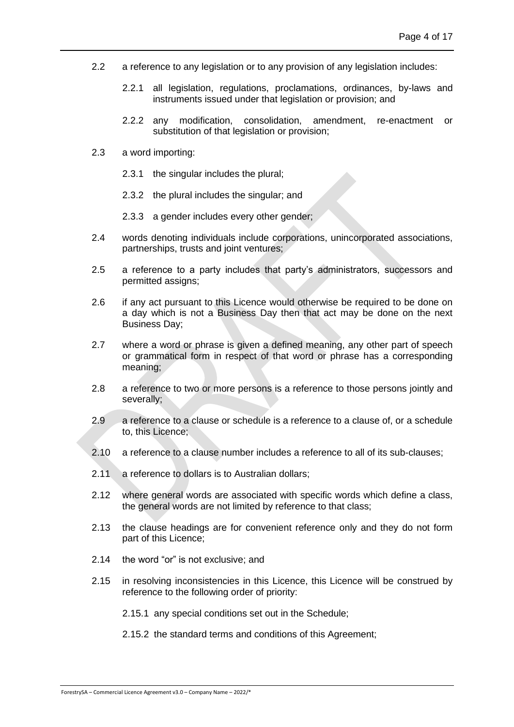- 2.2 a reference to any legislation or to any provision of any legislation includes:
	- 2.2.1 all legislation, regulations, proclamations, ordinances, by-laws and instruments issued under that legislation or provision; and
	- 2.2.2 any modification, consolidation, amendment, re-enactment or substitution of that legislation or provision;
- 2.3 a word importing:
	- 2.3.1 the singular includes the plural;
	- 2.3.2 the plural includes the singular; and
	- 2.3.3 a gender includes every other gender;
- 2.4 words denoting individuals include corporations, unincorporated associations, partnerships, trusts and joint ventures;
- 2.5 a reference to a party includes that party's administrators, successors and permitted assigns;
- 2.6 if any act pursuant to this Licence would otherwise be required to be done on a day which is not a Business Day then that act may be done on the next Business Day;
- 2.7 where a word or phrase is given a defined meaning, any other part of speech or grammatical form in respect of that word or phrase has a corresponding meaning;
- 2.8 a reference to two or more persons is a reference to those persons jointly and severally;
- 2.9 a reference to a clause or schedule is a reference to a clause of, or a schedule to, this Licence;
- 2.10 a reference to a clause number includes a reference to all of its sub-clauses;
- 2.11 a reference to dollars is to Australian dollars;
- 2.12 where general words are associated with specific words which define a class, the general words are not limited by reference to that class;
- 2.13 the clause headings are for convenient reference only and they do not form part of this Licence;
- 2.14 the word "or" is not exclusive; and
- 2.15 in resolving inconsistencies in this Licence, this Licence will be construed by reference to the following order of priority:
	- 2.15.1 any special conditions set out in the Schedule;
	- 2.15.2 the standard terms and conditions of this Agreement;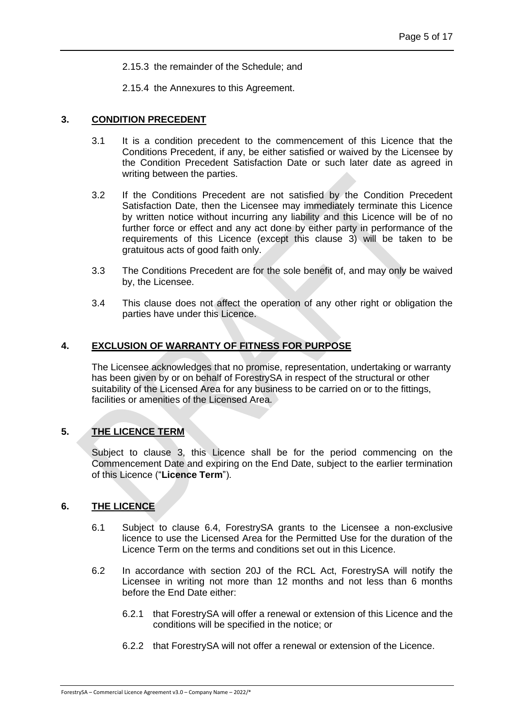2.15.3 the remainder of the Schedule; and

2.15.4 the Annexures to this Agreement.

#### <span id="page-7-0"></span>**3. CONDITION PRECEDENT**

- 3.1 It is a condition precedent to the commencement of this Licence that the Conditions Precedent, if any, be either satisfied or waived by the Licensee by the Condition Precedent Satisfaction Date or such later date as agreed in writing between the parties.
- <span id="page-7-4"></span>3.2 If the Conditions Precedent are not satisfied by the Condition Precedent Satisfaction Date, then the Licensee may immediately terminate this Licence by written notice without incurring any liability and this Licence will be of no further force or effect and any act done by either party in performance of the requirements of this Licence (except this clause [3\)](#page-7-0) will be taken to be gratuitous acts of good faith only.
- 3.3 The Conditions Precedent are for the sole benefit of, and may only be waived by, the Licensee.
- 3.4 This clause does not affect the operation of any other right or obligation the parties have under this Licence.

## <span id="page-7-1"></span>**4. EXCLUSION OF WARRANTY OF FITNESS FOR PURPOSE**

The Licensee acknowledges that no promise, representation, undertaking or warranty has been given by or on behalf of ForestrySA in respect of the structural or other suitability of the Licensed Area for any business to be carried on or to the fittings, facilities or amenities of the Licensed Area.

## <span id="page-7-2"></span>**5. THE LICENCE TERM**

Subject to clause [3,](#page-7-0) this Licence shall be for the period commencing on the Commencement Date and expiring on the End Date, subject to the earlier termination of this Licence ("**Licence Term**").

## <span id="page-7-3"></span>**6. THE LICENCE**

- 6.1 Subject to clause 6.4, ForestrySA grants to the Licensee a non-exclusive licence to use the Licensed Area for the Permitted Use for the duration of the Licence Term on the terms and conditions set out in this Licence.
- 6.2 In accordance with section 20J of the RCL Act, ForestrySA will notify the Licensee in writing not more than 12 months and not less than 6 months before the End Date either:
	- 6.2.1 that ForestrySA will offer a renewal or extension of this Licence and the conditions will be specified in the notice; or
	- 6.2.2 that ForestrySA will not offer a renewal or extension of the Licence.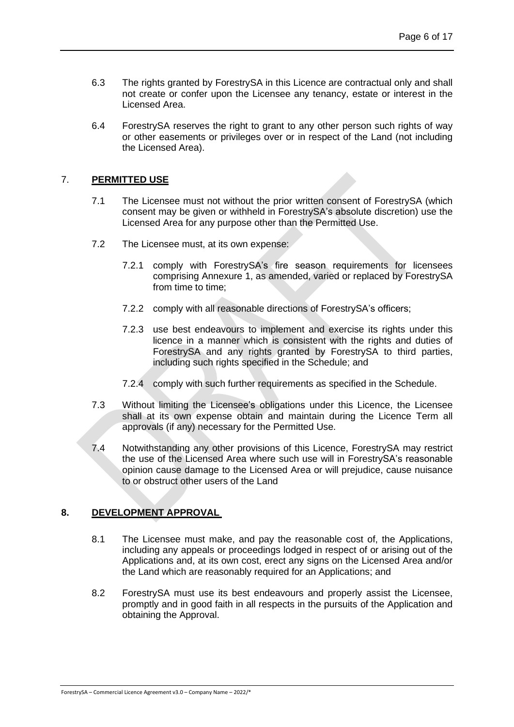- 6.3 The rights granted by ForestrySA in this Licence are contractual only and shall not create or confer upon the Licensee any tenancy, estate or interest in the Licensed Area.
- 6.4 ForestrySA reserves the right to grant to any other person such rights of way or other easements or privileges over or in respect of the Land (not including the Licensed Area).

### <span id="page-8-0"></span>7. **PERMITTED USE**

- 7.1 The Licensee must not without the prior written consent of ForestrySA (which consent may be given or withheld in ForestrySA's absolute discretion) use the Licensed Area for any purpose other than the Permitted Use.
- 7.2 The Licensee must, at its own expense:
	- 7.2.1 comply with ForestrySA's fire season requirements for licensees comprising Annexure 1, as amended, varied or replaced by ForestrySA from time to time;
	- 7.2.2 comply with all reasonable directions of ForestrySA's officers;
	- 7.2.3 use best endeavours to implement and exercise its rights under this licence in a manner which is consistent with the rights and duties of ForestrySA and any rights granted by ForestrySA to third parties, including such rights specified in the Schedule; and
	- 7.2.4 comply with such further requirements as specified in the Schedule.
- <span id="page-8-2"></span>7.3 Without limiting the Licensee's obligations under this Licence, the Licensee shall at its own expense obtain and maintain during the Licence Term all approvals (if any) necessary for the Permitted Use.
- 7.4 Notwithstanding any other provisions of this Licence, ForestrySA may restrict the use of the Licensed Area where such use will in ForestrySA's reasonable opinion cause damage to the Licensed Area or will prejudice, cause nuisance to or obstruct other users of the Land

## <span id="page-8-1"></span>**8. DEVELOPMENT APPROVAL**

- 8.1 The Licensee must make, and pay the reasonable cost of, the Applications, including any appeals or proceedings lodged in respect of or arising out of the Applications and, at its own cost, erect any signs on the Licensed Area and/or the Land which are reasonably required for an Applications; and
- 8.2 ForestrySA must use its best endeavours and properly assist the Licensee, promptly and in good faith in all respects in the pursuits of the Application and obtaining the Approval.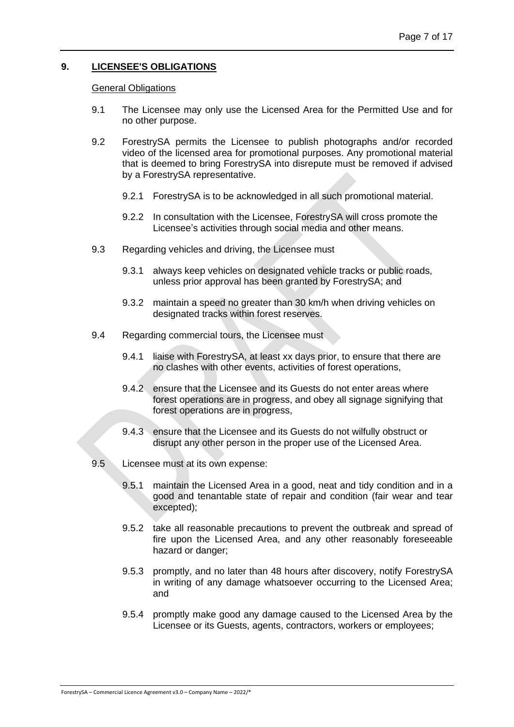## <span id="page-9-0"></span>**9. LICENSEE'S OBLIGATIONS**

#### General Obligations

- 9.1 The Licensee may only use the Licensed Area for the Permitted Use and for no other purpose.
- 9.2 ForestrySA permits the Licensee to publish photographs and/or recorded video of the licensed area for promotional purposes. Any promotional material that is deemed to bring ForestrySA into disrepute must be removed if advised by a ForestrySA representative.
	- 9.2.1 ForestrySA is to be acknowledged in all such promotional material.
	- 9.2.2 In consultation with the Licensee, ForestrySA will cross promote the Licensee's activities through social media and other means.
- 9.3 Regarding vehicles and driving, the Licensee must
	- 9.3.1 always keep vehicles on designated vehicle tracks or public roads, unless prior approval has been granted by ForestrySA; and
	- 9.3.2 maintain a speed no greater than 30 km/h when driving vehicles on designated tracks within forest reserves.
- 9.4 Regarding commercial tours, the Licensee must
	- 9.4.1 liaise with ForestrySA, at least xx days prior, to ensure that there are no clashes with other events, activities of forest operations,
	- 9.4.2 ensure that the Licensee and its Guests do not enter areas where forest operations are in progress, and obey all signage signifying that forest operations are in progress,
	- 9.4.3 ensure that the Licensee and its Guests do not wilfully obstruct or disrupt any other person in the proper use of the Licensed Area.
- 9.5 Licensee must at its own expense:
	- 9.5.1 maintain the Licensed Area in a good, neat and tidy condition and in a good and tenantable state of repair and condition (fair wear and tear excepted);
	- 9.5.2 take all reasonable precautions to prevent the outbreak and spread of fire upon the Licensed Area, and any other reasonably foreseeable hazard or danger;
	- 9.5.3 promptly, and no later than 48 hours after discovery, notify ForestrySA in writing of any damage whatsoever occurring to the Licensed Area; and
	- 9.5.4 promptly make good any damage caused to the Licensed Area by the Licensee or its Guests, agents, contractors, workers or employees;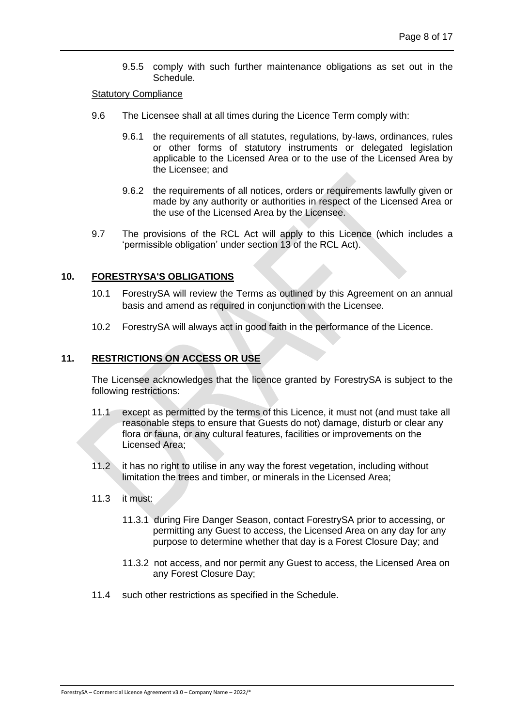9.5.5 comply with such further maintenance obligations as set out in the Schedule.

#### <span id="page-10-2"></span>Statutory Compliance

- 9.6 The Licensee shall at all times during the Licence Term comply with:
	- 9.6.1 the requirements of all statutes, regulations, by-laws, ordinances, rules or other forms of statutory instruments or delegated legislation applicable to the Licensed Area or to the use of the Licensed Area by the Licensee; and
	- 9.6.2 the requirements of all notices, orders or requirements lawfully given or made by any authority or authorities in respect of the Licensed Area or the use of the Licensed Area by the Licensee.
- 9.7 The provisions of the RCL Act will apply to this Licence (which includes a 'permissible obligation' under section 13 of the RCL Act).

## <span id="page-10-0"></span>**10. FORESTRYSA'S OBLIGATIONS**

- 10.1 ForestrySA will review the Terms as outlined by this Agreement on an annual basis and amend as required in conjunction with the Licensee.
- 10.2 ForestrySA will always act in good faith in the performance of the Licence.

#### <span id="page-10-1"></span>**11. RESTRICTIONS ON ACCESS OR USE**

The Licensee acknowledges that the licence granted by ForestrySA is subject to the following restrictions:

- 11.1 except as permitted by the terms of this Licence, it must not (and must take all reasonable steps to ensure that Guests do not) damage, disturb or clear any flora or fauna, or any cultural features, facilities or improvements on the Licensed Area;
- 11.2 it has no right to utilise in any way the forest vegetation, including without limitation the trees and timber, or minerals in the Licensed Area;
- 11.3 it must:
	- 11.3.1 during Fire Danger Season, contact ForestrySA prior to accessing, or permitting any Guest to access, the Licensed Area on any day for any purpose to determine whether that day is a Forest Closure Day; and
	- 11.3.2 not access, and nor permit any Guest to access, the Licensed Area on any Forest Closure Day;
- <span id="page-10-3"></span>11.4 such other restrictions as specified in the Schedule.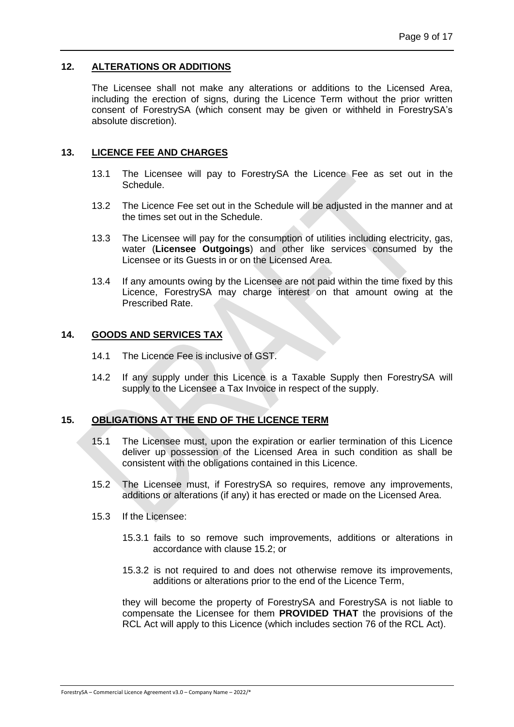## <span id="page-11-0"></span>**12. ALTERATIONS OR ADDITIONS**

The Licensee shall not make any alterations or additions to the Licensed Area, including the erection of signs, during the Licence Term without the prior written consent of ForestrySA (which consent may be given or withheld in ForestrySA's absolute discretion).

## <span id="page-11-1"></span>**13. LICENCE FEE AND CHARGES**

- 13.1 The Licensee will pay to ForestrySA the Licence Fee as set out in the Schedule.
- 13.2 The Licence Fee set out in the Schedule will be adjusted in the manner and at the times set out in the Schedule.
- 13.3 The Licensee will pay for the consumption of utilities including electricity, gas, water (**Licensee Outgoings**) and other like services consumed by the Licensee or its Guests in or on the Licensed Area.
- 13.4 If any amounts owing by the Licensee are not paid within the time fixed by this Licence, ForestrySA may charge interest on that amount owing at the Prescribed Rate.

#### <span id="page-11-2"></span>**14. GOODS AND SERVICES TAX**

- 14.1 The Licence Fee is inclusive of GST.
- 14.2 If any supply under this Licence is a Taxable Supply then ForestrySA will supply to the Licensee a Tax Invoice in respect of the supply.

## <span id="page-11-3"></span>**15. OBLIGATIONS AT THE END OF THE LICENCE TERM**

- 15.1 The Licensee must, upon the expiration or earlier termination of this Licence deliver up possession of the Licensed Area in such condition as shall be consistent with the obligations contained in this Licence.
- <span id="page-11-4"></span>15.2 The Licensee must, if ForestrySA so requires, remove any improvements, additions or alterations (if any) it has erected or made on the Licensed Area.
- 15.3 If the Licensee:
	- 15.3.1 fails to so remove such improvements, additions or alterations in accordance with clause [15.2;](#page-11-4) or
	- 15.3.2 is not required to and does not otherwise remove its improvements, additions or alterations prior to the end of the Licence Term,

they will become the property of ForestrySA and ForestrySA is not liable to compensate the Licensee for them **PROVIDED THAT** the provisions of the RCL Act will apply to this Licence (which includes section 76 of the RCL Act).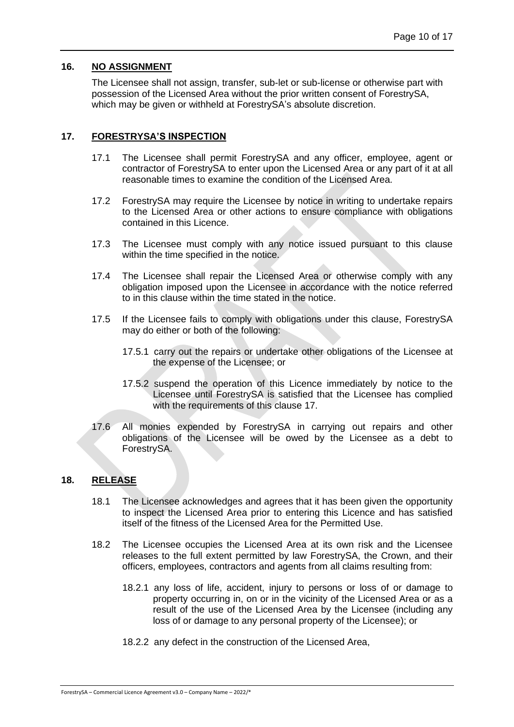## <span id="page-12-0"></span>**16. NO ASSIGNMENT**

The Licensee shall not assign, transfer, sub-let or sub-license or otherwise part with possession of the Licensed Area without the prior written consent of ForestrySA, which may be given or withheld at ForestrySA's absolute discretion.

# <span id="page-12-1"></span>**17. FORESTRYSA'S INSPECTION**

- 17.1 The Licensee shall permit ForestrySA and any officer, employee, agent or contractor of ForestrySA to enter upon the Licensed Area or any part of it at all reasonable times to examine the condition of the Licensed Area.
- 17.2 ForestrySA may require the Licensee by notice in writing to undertake repairs to the Licensed Area or other actions to ensure compliance with obligations contained in this Licence.
- 17.3 The Licensee must comply with any notice issued pursuant to this clause within the time specified in the notice.
- 17.4 The Licensee shall repair the Licensed Area or otherwise comply with any obligation imposed upon the Licensee in accordance with the notice referred to in this clause within the time stated in the notice.
- 17.5 If the Licensee fails to comply with obligations under this clause, ForestrySA may do either or both of the following:
	- 17.5.1 carry out the repairs or undertake other obligations of the Licensee at the expense of the Licensee; or
	- 17.5.2 suspend the operation of this Licence immediately by notice to the Licensee until ForestrySA is satisfied that the Licensee has complied with the requirements of this clause [17.](#page-12-1)
- 17.6 All monies expended by ForestrySA in carrying out repairs and other obligations of the Licensee will be owed by the Licensee as a debt to ForestrySA.

## <span id="page-12-2"></span>**18. RELEASE**

- 18.1 The Licensee acknowledges and agrees that it has been given the opportunity to inspect the Licensed Area prior to entering this Licence and has satisfied itself of the fitness of the Licensed Area for the Permitted Use.
- 18.2 The Licensee occupies the Licensed Area at its own risk and the Licensee releases to the full extent permitted by law ForestrySA, the Crown, and their officers, employees, contractors and agents from all claims resulting from:
	- 18.2.1 any loss of life, accident, injury to persons or loss of or damage to property occurring in, on or in the vicinity of the Licensed Area or as a result of the use of the Licensed Area by the Licensee (including any loss of or damage to any personal property of the Licensee); or
	- 18.2.2 any defect in the construction of the Licensed Area,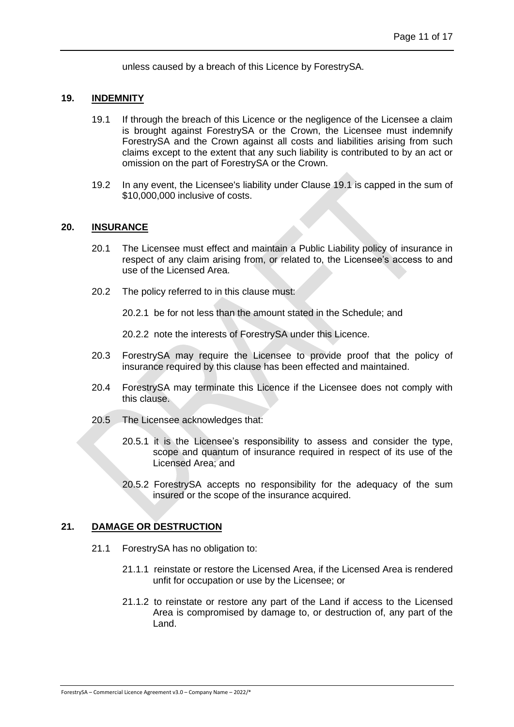unless caused by a breach of this Licence by ForestrySA.

#### <span id="page-13-3"></span><span id="page-13-0"></span>**19. INDEMNITY**

- 19.1 If through the breach of this Licence or the negligence of the Licensee a claim is brought against ForestrySA or the Crown, the Licensee must indemnify ForestrySA and the Crown against all costs and liabilities arising from such claims except to the extent that any such liability is contributed to by an act or omission on the part of ForestrySA or the Crown.
- 19.2 In any event, the Licensee's liability under Clause [19.1](#page-13-3) is capped in the sum of \$10,000,000 inclusive of costs.

#### <span id="page-13-1"></span>**20. INSURANCE**

- 20.1 The Licensee must effect and maintain a Public Liability policy of insurance in respect of any claim arising from, or related to, the Licensee's access to and use of the Licensed Area.
- 20.2 The policy referred to in this clause must:

20.2.1 be for not less than the amount stated in the Schedule; and

20.2.2 note the interests of ForestrySA under this Licence.

- 20.3 ForestrySA may require the Licensee to provide proof that the policy of insurance required by this clause has been effected and maintained.
- 20.4 ForestrySA may terminate this Licence if the Licensee does not comply with this clause.
- 20.5 The Licensee acknowledges that:
	- 20.5.1 it is the Licensee's responsibility to assess and consider the type, scope and quantum of insurance required in respect of its use of the Licensed Area; and
	- 20.5.2 ForestrySA accepts no responsibility for the adequacy of the sum insured or the scope of the insurance acquired.

#### <span id="page-13-2"></span>**21. DAMAGE OR DESTRUCTION**

- 21.1 ForestrySA has no obligation to:
	- 21.1.1 reinstate or restore the Licensed Area, if the Licensed Area is rendered unfit for occupation or use by the Licensee; or
	- 21.1.2 to reinstate or restore any part of the Land if access to the Licensed Area is compromised by damage to, or destruction of, any part of the Land.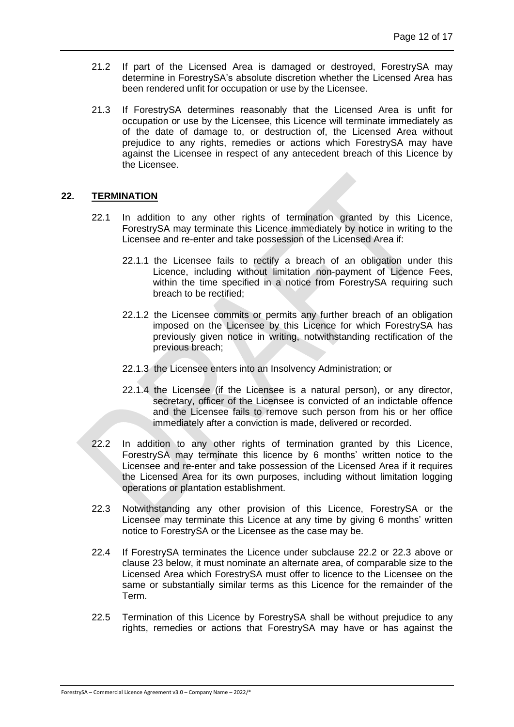- 21.2 If part of the Licensed Area is damaged or destroyed, ForestrySA may determine in ForestrySA's absolute discretion whether the Licensed Area has been rendered unfit for occupation or use by the Licensee.
- 21.3 If ForestrySA determines reasonably that the Licensed Area is unfit for occupation or use by the Licensee, this Licence will terminate immediately as of the date of damage to, or destruction of, the Licensed Area without prejudice to any rights, remedies or actions which ForestrySA may have against the Licensee in respect of any antecedent breach of this Licence by the Licensee.

## <span id="page-14-0"></span>**22. TERMINATION**

- 22.1 In addition to any other rights of termination granted by this Licence, ForestrySA may terminate this Licence immediately by notice in writing to the Licensee and re-enter and take possession of the Licensed Area if:
	- 22.1.1 the Licensee fails to rectify a breach of an obligation under this Licence, including without limitation non-payment of Licence Fees, within the time specified in a notice from ForestrySA requiring such breach to be rectified;
	- 22.1.2 the Licensee commits or permits any further breach of an obligation imposed on the Licensee by this Licence for which ForestrySA has previously given notice in writing, notwithstanding rectification of the previous breach;
	- 22.1.3 the Licensee enters into an Insolvency Administration; or
	- 22.1.4 the Licensee (if the Licensee is a natural person), or any director, secretary, officer of the Licensee is convicted of an indictable offence and the Licensee fails to remove such person from his or her office immediately after a conviction is made, delivered or recorded.
- <span id="page-14-1"></span>22.2 In addition to any other rights of termination granted by this Licence, ForestrySA may terminate this licence by 6 months' written notice to the Licensee and re-enter and take possession of the Licensed Area if it requires the Licensed Area for its own purposes, including without limitation logging operations or plantation establishment.
- <span id="page-14-2"></span>22.3 Notwithstanding any other provision of this Licence, ForestrySA or the Licensee may terminate this Licence at any time by giving 6 months' written notice to ForestrySA or the Licensee as the case may be.
- 22.4 If ForestrySA terminates the Licence under subclause [22.2](#page-14-1) or [22.3](#page-14-2) above or clause [23](#page-15-0) below, it must nominate an alternate area, of comparable size to the Licensed Area which ForestrySA must offer to licence to the Licensee on the same or substantially similar terms as this Licence for the remainder of the Term.
- 22.5 Termination of this Licence by ForestrySA shall be without prejudice to any rights, remedies or actions that ForestrySA may have or has against the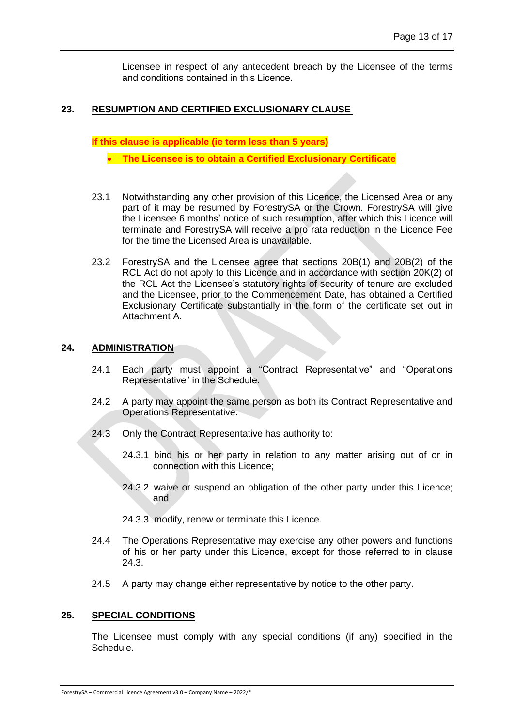Licensee in respect of any antecedent breach by the Licensee of the terms and conditions contained in this Licence.

# <span id="page-15-0"></span>**23. RESUMPTION AND CERTIFIED EXCLUSIONARY CLAUSE**

**If this clause is applicable (ie term less than 5 years)**

• **The Licensee is to obtain a Certified Exclusionary Certificate**

- 23.1 Notwithstanding any other provision of this Licence, the Licensed Area or any part of it may be resumed by ForestrySA or the Crown. ForestrySA will give the Licensee 6 months' notice of such resumption, after which this Licence will terminate and ForestrySA will receive a pro rata reduction in the Licence Fee for the time the Licensed Area is unavailable.
- 23.2 ForestrySA and the Licensee agree that sections 20B(1) and 20B(2) of the RCL Act do not apply to this Licence and in accordance with section 20K(2) of the RCL Act the Licensee's statutory rights of security of tenure are excluded and the Licensee, prior to the Commencement Date, has obtained a Certified Exclusionary Certificate substantially in the form of the certificate set out in Attachment A.

## <span id="page-15-4"></span><span id="page-15-1"></span>**24. ADMINISTRATION**

- 24.1 Each party must appoint a "Contract Representative" and "Operations Representative" in the Schedule.
- 24.2 A party may appoint the same person as both its Contract Representative and Operations Representative.
- <span id="page-15-3"></span>24.3 Only the Contract Representative has authority to:
	- 24.3.1 bind his or her party in relation to any matter arising out of or in connection with this Licence;
	- 24.3.2 waive or suspend an obligation of the other party under this Licence; and
	- 24.3.3 modify, renew or terminate this Licence.
- 24.4 The Operations Representative may exercise any other powers and functions of his or her party under this Licence, except for those referred to in clause [24.3.](#page-15-3)
- 24.5 A party may change either representative by notice to the other party.

## <span id="page-15-2"></span>**25. SPECIAL CONDITIONS**

The Licensee must comply with any special conditions (if any) specified in the Schedule.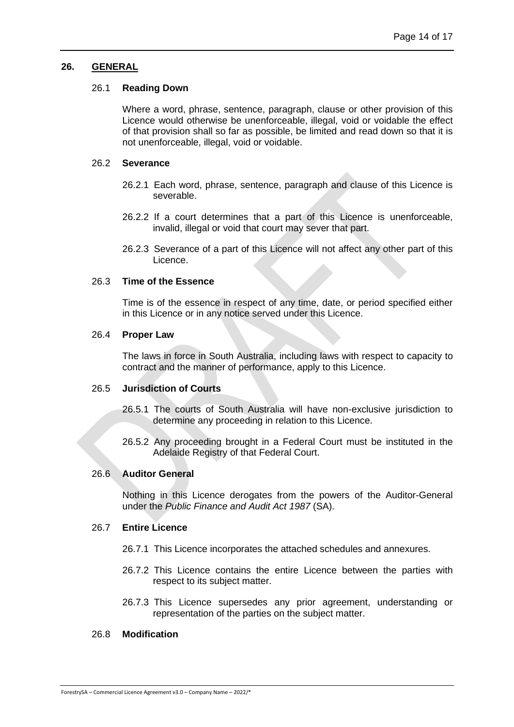#### <span id="page-16-0"></span>**26. GENERAL**

#### 26.1 **Reading Down**

Where a word, phrase, sentence, paragraph, clause or other provision of this Licence would otherwise be unenforceable, illegal, void or voidable the effect of that provision shall so far as possible, be limited and read down so that it is not unenforceable, illegal, void or voidable.

#### 26.2 **Severance**

- 26.2.1 Each word, phrase, sentence, paragraph and clause of this Licence is severable.
- 26.2.2 If a court determines that a part of this Licence is unenforceable, invalid, illegal or void that court may sever that part.
- 26.2.3 Severance of a part of this Licence will not affect any other part of this Licence.

## 26.3 **Time of the Essence**

Time is of the essence in respect of any time, date, or period specified either in this Licence or in any notice served under this Licence.

#### 26.4 **Proper Law**

The laws in force in South Australia, including laws with respect to capacity to contract and the manner of performance, apply to this Licence.

## 26.5 **Jurisdiction of Courts**

- 26.5.1 The courts of South Australia will have non-exclusive jurisdiction to determine any proceeding in relation to this Licence.
- 26.5.2 Any proceeding brought in a Federal Court must be instituted in the Adelaide Registry of that Federal Court.

#### 26.6 **Auditor General**

Nothing in this Licence derogates from the powers of the Auditor-General under the *Public Finance and Audit Act 1987* (SA).

#### 26.7 **Entire Licence**

- 26.7.1 This Licence incorporates the attached schedules and annexures.
- 26.7.2 This Licence contains the entire Licence between the parties with respect to its subject matter.
- 26.7.3 This Licence supersedes any prior agreement, understanding or representation of the parties on the subject matter.

## 26.8 **Modification**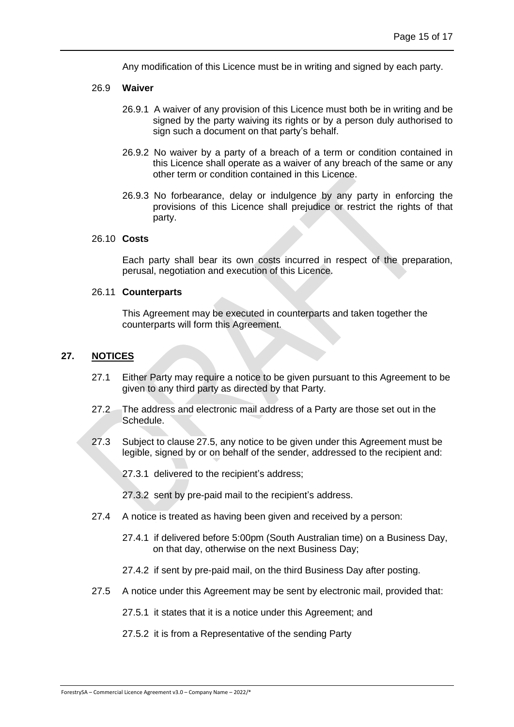Any modification of this Licence must be in writing and signed by each party.

#### 26.9 **Waiver**

- 26.9.1 A waiver of any provision of this Licence must both be in writing and be signed by the party waiving its rights or by a person duly authorised to sign such a document on that party's behalf.
- 26.9.2 No waiver by a party of a breach of a term or condition contained in this Licence shall operate as a waiver of any breach of the same or any other term or condition contained in this Licence.
- 26.9.3 No forbearance, delay or indulgence by any party in enforcing the provisions of this Licence shall prejudice or restrict the rights of that party.

#### 26.10 **Costs**

Each party shall bear its own costs incurred in respect of the preparation, perusal, negotiation and execution of this Licence.

#### 26.11 **Counterparts**

This Agreement may be executed in counterparts and taken together the counterparts will form this Agreement.

### <span id="page-17-0"></span>**27. NOTICES**

- 27.1 Either Party may require a notice to be given pursuant to this Agreement to be given to any third party as directed by that Party.
- 27.2 The address and electronic mail address of a Party are those set out in the Schedule.
- 27.3 Subject to clause [27.5,](#page-17-1) any notice to be given under this Agreement must be legible, signed by or on behalf of the sender, addressed to the recipient and:
	- 27.3.1 delivered to the recipient's address;

27.3.2 sent by pre-paid mail to the recipient's address.

- 27.4 A notice is treated as having been given and received by a person:
	- 27.4.1 if delivered before 5:00pm (South Australian time) on a Business Day, on that day, otherwise on the next Business Day;
	- 27.4.2 if sent by pre-paid mail, on the third Business Day after posting.
- <span id="page-17-1"></span>27.5 A notice under this Agreement may be sent by electronic mail, provided that:

27.5.1 it states that it is a notice under this Agreement; and

27.5.2 it is from a Representative of the sending Party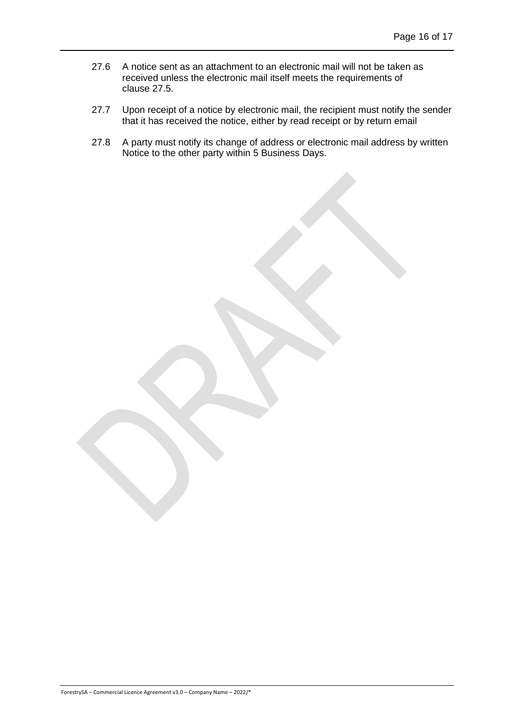- 27.6 A notice sent as an attachment to an electronic mail will not be taken as received unless the electronic mail itself meets the requirements of clause [27.5.](#page-17-1)
- 27.7 Upon receipt of a notice by electronic mail, the recipient must notify the sender that it has received the notice, either by read receipt or by return email
- 27.8 A party must notify its change of address or electronic mail address by written Notice to the other party within 5 Business Days.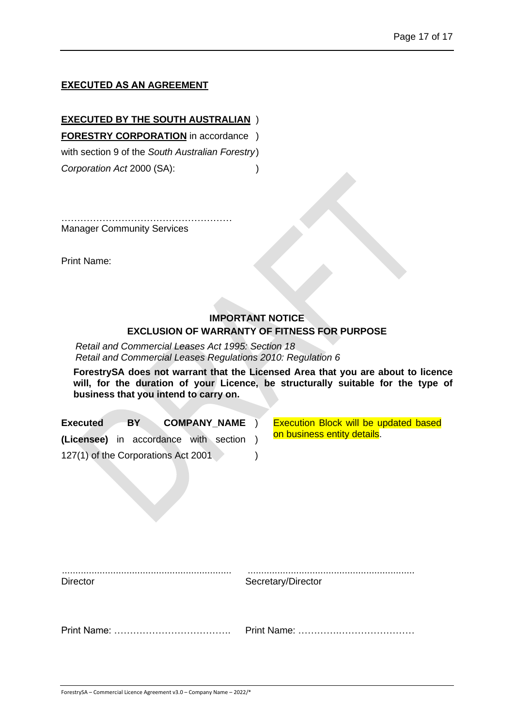## **EXECUTED AS AN AGREEMENT**

**EXECUTED BY THE SOUTH AUSTRALIAN** ) **FORESTRY CORPORATION** in accordance ) with section 9 of the *South Australian Forestry*) *Corporation Act* 2000 (SA): )

…………………………………………………… Manager Community Services

Print Name:

# **IMPORTANT NOTICE EXCLUSION OF WARRANTY OF FITNESS FOR PURPOSE**

*Retail and Commercial Leases Act 1995: Section 18 Retail and Commercial Leases Regulations 2010: Regulation 6*

**ForestrySA does not warrant that the Licensed Area that you are about to licence will, for the duration of your Licence, be structurally suitable for the type of business that you intend to carry on.**

| <b>COMPANY NAME</b><br><b>Executed</b><br>BY. | <b>Execution Block will be updated based</b> |
|-----------------------------------------------|----------------------------------------------|
| (Licensee) in accordance with section         | on business entity details.                  |
| 127(1) of the Corporations Act 2001           |                                              |
|                                               |                                              |

| <b>Director</b> | Secretary/Director |
|-----------------|--------------------|
|                 |                    |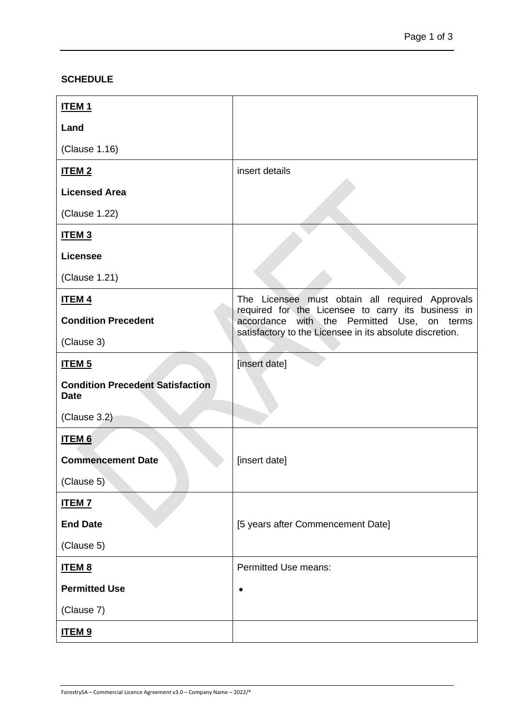# <span id="page-20-0"></span>**SCHEDULE**

| <b>ITEM1</b>                                           |                                                                                                   |
|--------------------------------------------------------|---------------------------------------------------------------------------------------------------|
| Land                                                   |                                                                                                   |
| (Clause 1.16)                                          |                                                                                                   |
| <b>ITEM2</b>                                           | insert details                                                                                    |
| <b>Licensed Area</b>                                   |                                                                                                   |
| (Clause 1.22)                                          |                                                                                                   |
| ITEM <sub>3</sub>                                      |                                                                                                   |
| <b>Licensee</b>                                        |                                                                                                   |
| (Clause 1.21)                                          |                                                                                                   |
| <b>ITEM4</b>                                           | The Licensee must obtain all required Approvals                                                   |
| <b>Condition Precedent</b>                             | required for the Licensee to carry its business in<br>accordance with the Permitted Use, on terms |
| (Clause 3)                                             | satisfactory to the Licensee in its absolute discretion.                                          |
| <b>ITEM<sub>5</sub></b>                                | [insert date]                                                                                     |
| <b>Condition Precedent Satisfaction</b><br><b>Date</b> |                                                                                                   |
| (Clause 3.2)                                           |                                                                                                   |
| <b>ITEM6</b>                                           |                                                                                                   |
| <b>Commencement Date</b>                               | [insert date]                                                                                     |
| (Clause 5)                                             |                                                                                                   |
| <b>ITEM7</b>                                           |                                                                                                   |
| <b>End Date</b>                                        | [5 years after Commencement Date]                                                                 |
| (Clause 5)                                             |                                                                                                   |
| <b>ITEM 8</b>                                          | <b>Permitted Use means:</b>                                                                       |
| <b>Permitted Use</b>                                   | $\bullet$                                                                                         |
| (Clause 7)                                             |                                                                                                   |
| <u>ITEM 9</u>                                          |                                                                                                   |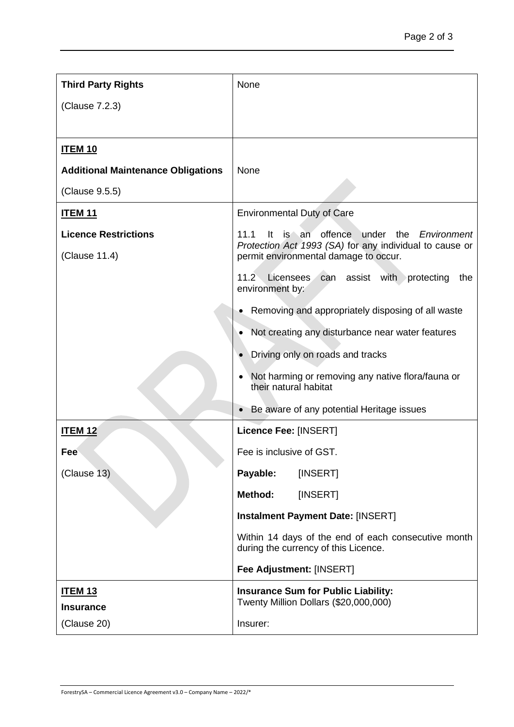| <b>Third Party Rights</b>                    | None                                                                                                                                                                |
|----------------------------------------------|---------------------------------------------------------------------------------------------------------------------------------------------------------------------|
| (Clause 7.2.3)                               |                                                                                                                                                                     |
|                                              |                                                                                                                                                                     |
| <u>ITEM 10</u>                               |                                                                                                                                                                     |
| <b>Additional Maintenance Obligations</b>    | None                                                                                                                                                                |
| (Clause 9.5.5)                               |                                                                                                                                                                     |
| <u>ITEM 11</u>                               | <b>Environmental Duty of Care</b>                                                                                                                                   |
| <b>Licence Restrictions</b><br>(Clause 11.4) | is an offence under the <i>Environment</i><br>11.1<br><u>It</u><br>Protection Act 1993 (SA) for any individual to cause or<br>permit environmental damage to occur. |
|                                              | assist with protecting<br>11.2 Licensees<br>can<br>the<br>environment by:                                                                                           |
|                                              | Removing and appropriately disposing of all waste                                                                                                                   |
|                                              | Not creating any disturbance near water features                                                                                                                    |
|                                              | Driving only on roads and tracks                                                                                                                                    |
|                                              | Not harming or removing any native flora/fauna or<br>their natural habitat                                                                                          |
|                                              | Be aware of any potential Heritage issues                                                                                                                           |
| <b>ITEM 12</b>                               | Licence Fee: [INSERT]                                                                                                                                               |
| <b>Fee</b>                                   | Fee is inclusive of GST.                                                                                                                                            |
| (Clause 13)                                  | Payable:<br>[INSERT]                                                                                                                                                |
|                                              | <b>Method:</b><br>[INSERT]                                                                                                                                          |
|                                              | <b>Instalment Payment Date: [INSERT]</b>                                                                                                                            |
|                                              | Within 14 days of the end of each consecutive month<br>during the currency of this Licence.                                                                         |
|                                              | Fee Adjustment: [INSERT]                                                                                                                                            |
| <u>ITEM 13</u><br><b>Insurance</b>           | <b>Insurance Sum for Public Liability:</b><br>Twenty Million Dollars (\$20,000,000)                                                                                 |
| (Clause 20)                                  | Insurer:                                                                                                                                                            |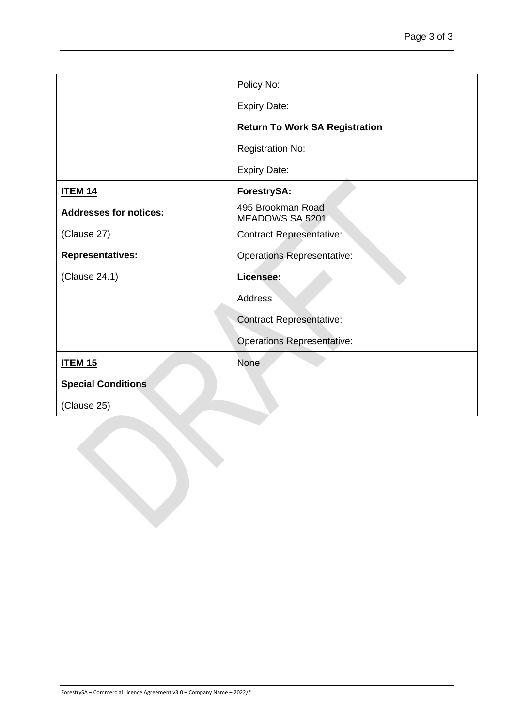|                               | Policy No:                            |
|-------------------------------|---------------------------------------|
|                               | <b>Expiry Date:</b>                   |
|                               | <b>Return To Work SA Registration</b> |
|                               | <b>Registration No:</b>               |
|                               | <b>Expiry Date:</b>                   |
| <b>ITEM 14</b>                | ForestrySA:                           |
| <b>Addresses for notices:</b> | 495 Brookman Road<br>MEADOWS SA 5201  |
| (Clause 27)                   | <b>Contract Representative:</b>       |
| <b>Representatives:</b>       | <b>Operations Representative:</b>     |
| (Clause 24.1)                 | Licensee:                             |
|                               | <b>Address</b>                        |
|                               | <b>Contract Representative:</b>       |
|                               | <b>Operations Representative:</b>     |
| <b>ITEM 15</b>                | <b>None</b>                           |
| <b>Special Conditions</b>     |                                       |
| (Clause 25)                   |                                       |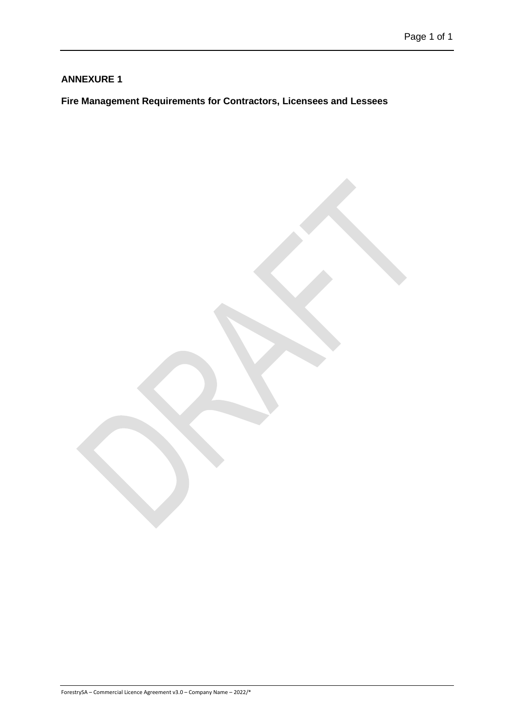# <span id="page-23-0"></span>**Fire Management Requirements for Contractors, Licensees and Lessees**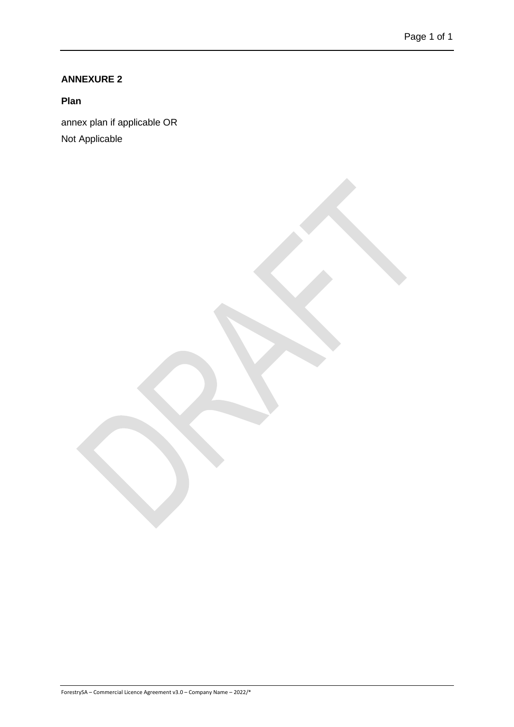<span id="page-24-0"></span>**Plan**

annex plan if applicable OR Not Applicable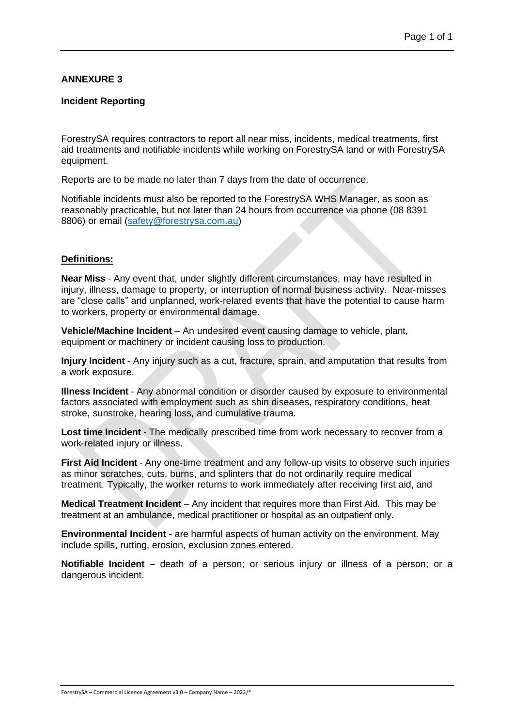#### <span id="page-25-0"></span>**Incident Reporting**

ForestrySA requires contractors to report all near miss, incidents, medical treatments, first aid treatments and notifiable incidents while working on ForestrySA land or with ForestrySA equipment.

Reports are to be made no later than 7 days from the date of occurrence.

Notifiable incidents must also be reported to the ForestrySA WHS Manager, as soon as reasonably practicable, but not later than 24 hours from occurrence via phone (08 8391 8806) or email [\(safety@forestrysa.com.au\)](mailto:safety@forestrysa.com.au)

## **Definitions:**

**Near Miss** - Any event that, under slightly different circumstances, may have resulted in injury, illness, damage to property, or interruption of normal business activity. Near‐misses are "close calls" and unplanned, work‐related events that have the potential to cause harm to workers, property or environmental damage.

**Vehicle/Machine Incident** – An undesired event causing damage to vehicle, plant, equipment or machinery or incident causing loss to production.

**Injury Incident** - Any injury such as a cut, fracture, sprain, and amputation that results from a work exposure.

**Illness Incident** - Any abnormal condition or disorder caused by exposure to environmental factors associated with employment such as shin diseases, respiratory conditions, heat stroke, sunstroke, hearing loss, and cumulative trauma.

**Lost time Incident** - The medically prescribed time from work necessary to recover from a work‐related injury or illness.

**First Aid Incident** - Any one‐time treatment and any follow‐up visits to observe such injuries as minor scratches, cuts, burns, and splinters that do not ordinarily require medical treatment. Typically, the worker returns to work immediately after receiving first aid, and

**Medical Treatment Incident** – Any incident that requires more than First Aid. This may be treatment at an ambulance, medical practitioner or hospital as an outpatient only.

**Environmental Incident -** are harmful aspects of human activity on the environment. May include spills, rutting, erosion, exclusion zones entered.

**Notifiable Incident** – death of a person; or serious injury or illness of a person; or a dangerous incident.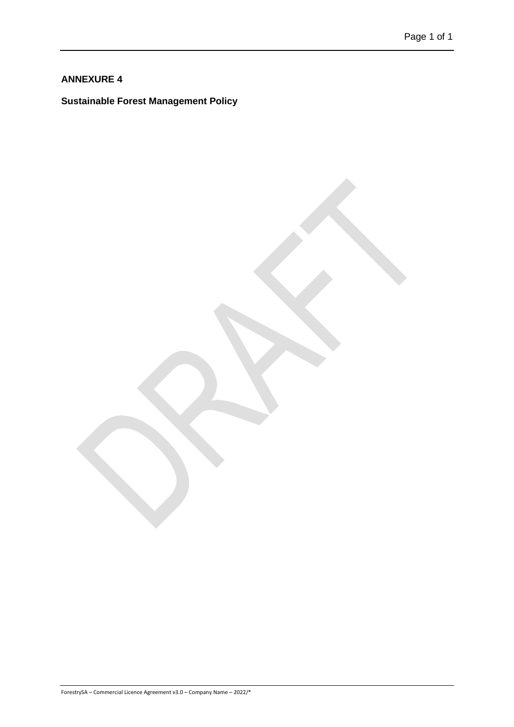# <span id="page-26-0"></span>**Sustainable Forest Management Policy**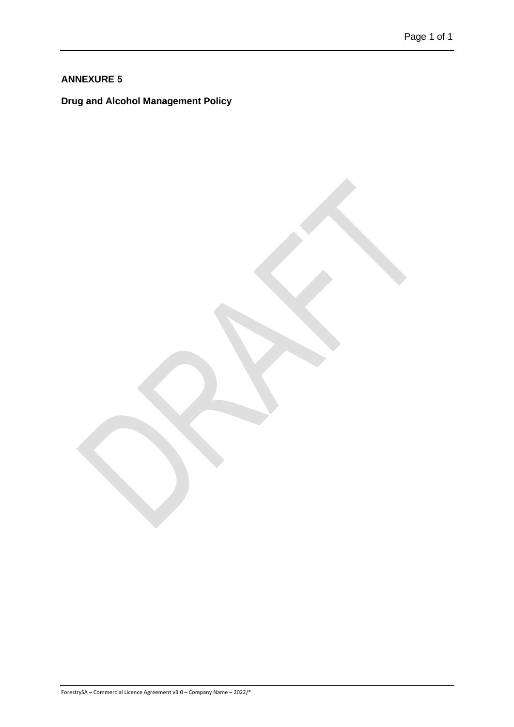<span id="page-27-0"></span>**Drug and Alcohol Management Policy**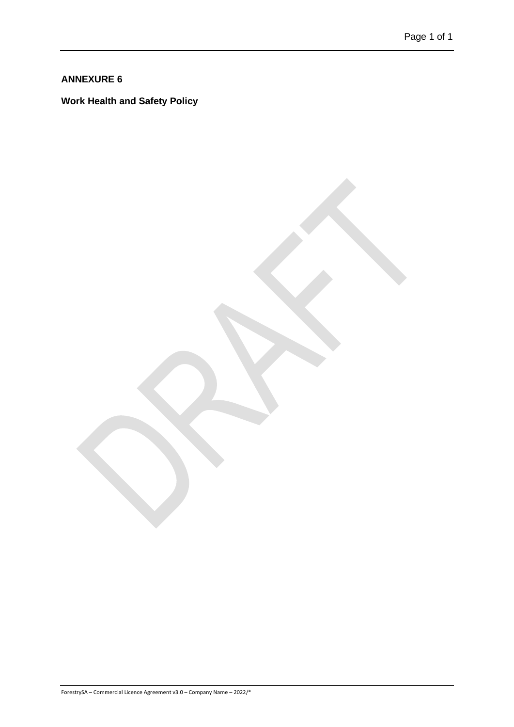<span id="page-28-0"></span>**Work Health and Safety Policy**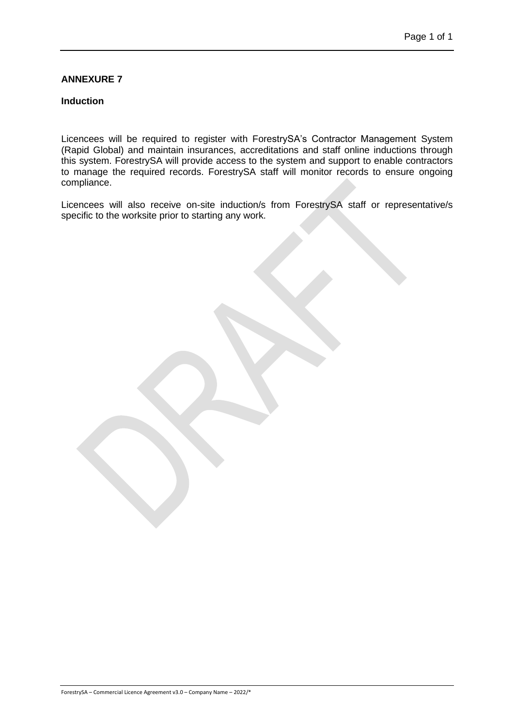#### <span id="page-29-0"></span>**Induction**

Licencees will be required to register with ForestrySA's Contractor Management System (Rapid Global) and maintain insurances, accreditations and staff online inductions through this system. ForestrySA will provide access to the system and support to enable contractors to manage the required records. ForestrySA staff will monitor records to ensure ongoing compliance.

Licencees will also receive on-site induction/s from ForestrySA staff or representative/s specific to the worksite prior to starting any work.